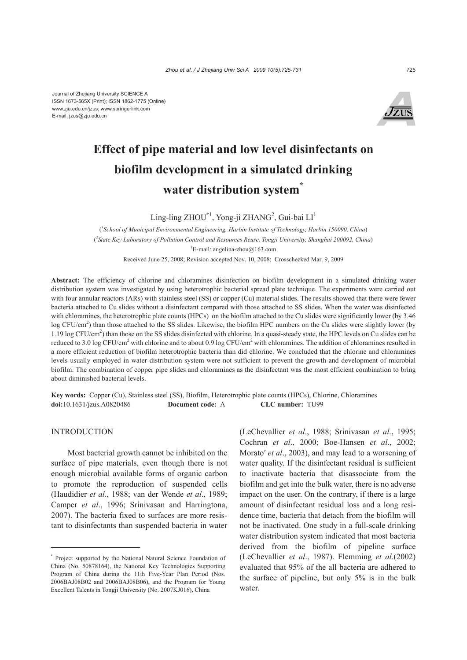

# **Effect of pipe material and low level disinfectants on biofilm development in a simulated drinking water distribution system\***

Ling-ling ZHOU<sup>†1</sup>, Yong-ji ZHANG<sup>2</sup>, Gui-bai LI<sup>1</sup>

( *1 School of Municipal Environmental Engineering, Harbin Institute of Technology, Harbin 150090, China*) ( *2 State Key Laboratory of Pollution Control and Resources Reuse, Tongji University, Shanghai 200092, China*) † E-mail: angelina-zhou@163.com Received June 25, 2008; Revision accepted Nov. 10, 2008; Crosschecked Mar. 9, 2009

**Abstract:** The efficiency of chlorine and chloramines disinfection on biofilm development in a simulated drinking water distribution system was investigated by using heterotrophic bacterial spread plate technique. The experiments were carried out with four annular reactors (ARs) with stainless steel (SS) or copper (Cu) material slides. The results showed that there were fewer bacteria attached to Cu slides without a disinfectant compared with those attached to SS slides. When the water was disinfected with chloramines, the heterotrophic plate counts (HPCs) on the biofilm attached to the Cu slides were significantly lower (by 3.46 log CFU/cm<sup>2</sup>) than those attached to the SS slides. Likewise, the biofilm HPC numbers on the Cu slides were slightly lower (by 1.19 log CFU/cm2 ) than those on the SS slides disinfected with chlorine. In a quasi-steady state, the HPC levels on Cu slides can be reduced to 3.0 log CFU/cm<sup>2</sup> with chlorine and to about 0.9 log CFU/cm<sup>2</sup> with chloramines. The addition of chloramines resulted in a more efficient reduction of biofilm heterotrophic bacteria than did chlorine. We concluded that the chlorine and chloramines levels usually employed in water distribution system were not sufficient to prevent the growth and development of microbial biofilm. The combination of copper pipe slides and chloramines as the disinfectant was the most efficient combination to bring about diminished bacterial levels.

**Key words:** Copper (Cu), Stainless steel (SS), Biofilm, Heterotrophic plate counts (HPCs), Chlorine, Chloramines **doi:**10.1631/jzus.A0820486 **Document code:** A **CLC number:** TU99

#### **INTRODUCTION**

Most bacterial growth cannot be inhibited on the surface of pipe materials, even though there is not enough microbial available forms of organic carbon to promote the reproduction of suspended cells (Haudidier *et al*., 1988; van der Wende *et al*., 1989; Camper *et al*., 1996; Srinivasan and Harringtona, 2007). The bacteria fixed to surfaces are more resistant to disinfectants than suspended bacteria in water

(LeChevallier *et al*., 1988; Srinivasan *et al*., 1995; Cochran *et al*., 2000; Boe-Hansen *et al*., 2002; Morato' *et al.*, 2003), and may lead to a worsening of water quality. If the disinfectant residual is sufficient to inactivate bacteria that disassociate from the biofilm and get into the bulk water, there is no adverse impact on the user. On the contrary, if there is a large amount of disinfectant residual loss and a long residence time, bacteria that detach from the biofilm will not be inactivated. One study in a full-scale drinking water distribution system indicated that most bacteria derived from the biofilm of pipeline surface (LeChevallier *et al*., 1987). Flemming *et al*.(2002) evaluated that 95% of the all bacteria are adhered to the surface of pipeline, but only 5% is in the bulk water.

<sup>\*</sup> Project supported by the National Natural Science Foundation of China (No. 50878164), the National Key Technologies Supporting Program of China during the 11th Five-Year Plan Period (Nos. 2006BAJ08B02 and 2006BAJ08B06), and the Program for Young Excellent Talents in Tongji University (No. 2007KJ016), China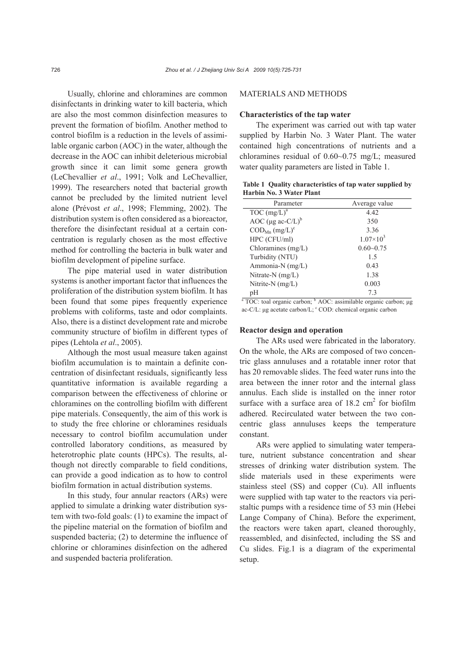Usually, chlorine and chloramines are common disinfectants in drinking water to kill bacteria, which are also the most common disinfection measures to prevent the formation of biofilm. Another method to control biofilm is a reduction in the levels of assimilable organic carbon (AOC) in the water, although the decrease in the AOC can inhibit deleterious microbial growth since it can limit some genera growth (LeChevallier *et al*., 1991; Volk and LeChevallier, 1999). The researchers noted that bacterial growth cannot be precluded by the limited nutrient level alone (Prévost *et al*., 1998; Flemming, 2002). The distribution system is often considered as a bioreactor, therefore the disinfectant residual at a certain concentration is regularly chosen as the most effective method for controlling the bacteria in bulk water and biofilm development of pipeline surface.

The pipe material used in water distribution systems is another important factor that influences the proliferation of the distribution system biofilm. It has been found that some pipes frequently experience problems with coliforms, taste and odor complaints. Also, there is a distinct development rate and microbe community structure of biofilm in different types of pipes (Lehtola *et al*., 2005).

Although the most usual measure taken against biofilm accumulation is to maintain a definite concentration of disinfectant residuals, significantly less quantitative information is available regarding a comparison between the effectiveness of chlorine or chloramines on the controlling biofilm with different pipe materials. Consequently, the aim of this work is to study the free chlorine or chloramines residuals necessary to control biofilm accumulation under controlled laboratory conditions, as measured by heterotrophic plate counts (HPCs). The results, although not directly comparable to field conditions, can provide a good indication as to how to control biofilm formation in actual distribution systems.

In this study, four annular reactors (ARs) were applied to simulate a drinking water distribution system with two-fold goals: (1) to examine the impact of the pipeline material on the formation of biofilm and suspended bacteria; (2) to determine the influence of chlorine or chloramines disinfection on the adhered and suspended bacteria proliferation.

# MATERIALS AND METHODS

## **Characteristics of the tap water**

The experiment was carried out with tap water supplied by Harbin No. 3 Water Plant. The water contained high concentrations of nutrients and a chloramines residual of 0.60~0.75 mg/L; measured water quality parameters are listed in Table 1.

**Table 1 Quality characteristics of tap water supplied by Harbin No. 3 Water Plant** 

| Parameter                                                                               | Average value      |  |  |  |
|-----------------------------------------------------------------------------------------|--------------------|--|--|--|
| TOC (mg/L) <sup>a</sup>                                                                 | 4.42               |  |  |  |
| AOC ( $\mu$ g ac-C/L) <sup>b</sup>                                                      | 350                |  |  |  |
| $\mathrm{COD}_{\mathrm{Mn}}\left(\mathrm{mg}/\mathrm{L}\right)^c$                       | 3.36               |  |  |  |
| HPC (CFU/ml)                                                                            | $1.07\times10^{3}$ |  |  |  |
| Chloramines $(mg/L)$                                                                    | $0.60 - 0.75$      |  |  |  |
| Turbidity (NTU)                                                                         | 15                 |  |  |  |
| Ammonia-N (mg/L)                                                                        | 0.43               |  |  |  |
| Nitrate-N $(mg/L)$                                                                      | 1.38               |  |  |  |
| Nitrite-N $(mg/L)$                                                                      | 0.003              |  |  |  |
| pН                                                                                      | 7.3                |  |  |  |
| <sup>a</sup> TOC: toal organic carbon; <sup>b</sup> AOC: assimilable organic carbon; µg |                    |  |  |  |

ac-C/L: μg acetate carbon/L; <sup>c</sup> COD: chemical organic carbon

## **Reactor design and operation**

The ARs used were fabricated in the laboratory. On the whole, the ARs are composed of two concentric glass annuluses and a rotatable inner rotor that has 20 removable slides. The feed water runs into the area between the inner rotor and the internal glass annulus. Each slide is installed on the inner rotor surface with a surface area of  $18.2 \text{ cm}^2$  for biofilm adhered. Recirculated water between the two concentric glass annuluses keeps the temperature constant.

ARs were applied to simulating water temperature, nutrient substance concentration and shear stresses of drinking water distribution system. The slide materials used in these experiments were stainless steel (SS) and copper (Cu). All influents were supplied with tap water to the reactors via peristaltic pumps with a residence time of 53 min (Hebei Lange Company of China). Before the experiment, the reactors were taken apart, cleaned thoroughly, reassembled, and disinfected, including the SS and Cu slides. Fig.1 is a diagram of the experimental setup.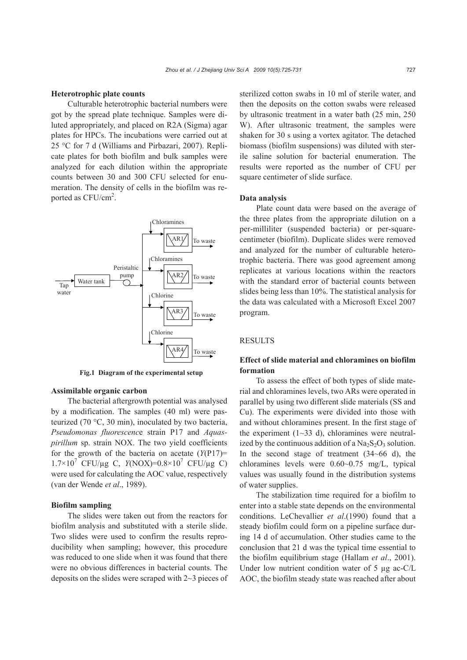#### **Heterotrophic plate counts**

Culturable heterotrophic bacterial numbers were got by the spread plate technique. Samples were diluted appropriately, and placed on R2A (Sigma) agar plates for HPCs. The incubations were carried out at 25 °C for 7 d (Williams and Pirbazari, 2007). Replicate plates for both biofilm and bulk samples were analyzed for each dilution within the appropriate counts between 30 and 300 CFU selected for enumeration. The density of cells in the biofilm was reported as  $CFU/cm<sup>2</sup>$ .



**Fig.1 Diagram of the experimental setup**

#### **Assimilable organic carbon**

The bacterial aftergrowth potential was analysed by a modification. The samples (40 ml) were pasteurized (70 °C, 30 min), inoculated by two bacteria, *Pseudomonas fluorescenc*e strain P17 and *Aquaspirillum* sp. strain NOX. The two yield coefficients for the growth of the bacteria on acetate (*Y*(P17)= 1.7×10<sup>7</sup> CFU/μg C, *Y*(NOX)=0.8×10<sup>7</sup> CFU/μg C) were used for calculating the AOC value, respectively (van der Wende *et al*., 1989).

### **Biofilm sampling**

The slides were taken out from the reactors for biofilm analysis and substituted with a sterile slide. Two slides were used to confirm the results reproducibility when sampling; however, this procedure was reduced to one slide when it was found that there were no obvious differences in bacterial counts. The deposits on the slides were scraped with 2~3 pieces of sterilized cotton swabs in 10 ml of sterile water, and then the deposits on the cotton swabs were released by ultrasonic treatment in a water bath (25 min, 250 W). After ultrasonic treatment, the samples were shaken for 30 s using a vortex agitator. The detached biomass (biofilm suspensions) was diluted with sterile saline solution for bacterial enumeration. The results were reported as the number of CFU per square centimeter of slide surface.

#### **Data analysis**

Plate count data were based on the average of the three plates from the appropriate dilution on a per-milliliter (suspended bacteria) or per-squarecentimeter (biofilm). Duplicate slides were removed and analyzed for the number of culturable heterotrophic bacteria. There was good agreement among replicates at various locations within the reactors with the standard error of bacterial counts between slides being less than 10%. The statistical analysis for the data was calculated with a Microsoft Excel 2007 program.

#### **RESULTS**

# **Effect of slide material and chloramines on biofilm formation**

To assess the effect of both types of slide material and chloramines levels, two ARs were operated in parallel by using two different slide materials (SS and Cu). The experiments were divided into those with and without chloramines present. In the first stage of the experiment  $(1~33~d)$ , chloramines were neutralized by the continuous addition of a  $Na<sub>2</sub>S<sub>2</sub>O<sub>3</sub>$  solution. In the second stage of treatment (34~66 d), the chloramines levels were 0.60~0.75 mg/L, typical values was usually found in the distribution systems of water supplies.

The stabilization time required for a biofilm to enter into a stable state depends on the environmental conditions. LeChevallier *et al*.(1990) found that a steady biofilm could form on a pipeline surface during 14 d of accumulation. Other studies came to the conclusion that 21 d was the typical time essential to the biofilm equilibrium stage (Hallam *et al*., 2001). Under low nutrient condition water of 5 µg ac-C/L AOC, the biofilm steady state was reached after about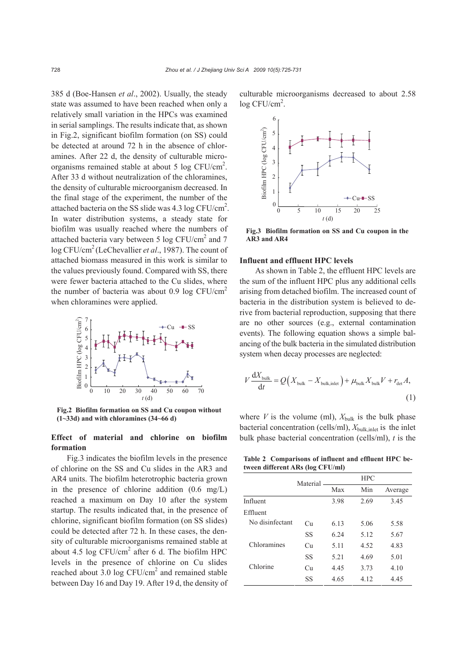385 d (Boe-Hansen *et al*., 2002). Usually, the steady state was assumed to have been reached when only a relatively small variation in the HPCs was examined in serial samplings. The results indicate that, as shown in Fig.2, significant biofilm formation (on SS) could be detected at around 72 h in the absence of chloramines. After 22 d, the density of culturable microorganisms remained stable at about 5  $\log$  CFU/cm<sup>2</sup>. After 33 d without neutralization of the chloramines, the density of culturable microorganism decreased. In the final stage of the experiment, the number of the attached bacteria on the SS slide was  $4.3 \log CFU/cm^2$ . In water distribution systems, a steady state for biofilm was usually reached where the numbers of attached bacteria vary between 5  $\log$  CFU/cm<sup>2</sup> and 7 log CFU/cm<sup>2</sup> (LeChevallier *et al.*, 1987). The count of attached biomass measured in this work is similar to the values previously found. Compared with SS, there were fewer bacteria attached to the Cu slides, where the number of bacteria was about 0.9 log  $CFU/cm<sup>2</sup>$ when chloramines were applied.



**Fig.2 Biofilm formation on SS and Cu coupon without (1~33d) and with chloramines (34~66 d)**

# **Effect of material and chlorine on biofilm formation**

Fig.3 indicates the biofilm levels in the presence of chlorine on the SS and Cu slides in the AR3 and AR4 units. The biofilm heterotrophic bacteria grown in the presence of chlorine addition (0.6 mg/L) reached a maximum on Day 10 after the system startup. The results indicated that, in the presence of chlorine, significant biofilm formation (on SS slides) could be detected after 72 h. In these cases, the density of culturable microorganisms remained stable at about 4.5  $\log$  CFU/cm<sup>2</sup> after 6 d. The biofilm HPC levels in the presence of chlorine on Cu slides reached about  $3.0 \log CFU/cm^2$  and remained stable between Day 16 and Day 19. After 19 d, the density of

culturable microorganisms decreased to about 2.58  $log CFU/cm<sup>2</sup>$ .



**Fig.3 Biofilm formation on SS and Cu coupon in the AR3 and AR4**

## **Influent and effluent HPC levels**

As shown in Table 2, the effluent HPC levels are the sum of the influent HPC plus any additional cells arising from detached biofilm. The increased count of bacteria in the distribution system is believed to derive from bacterial reproduction, supposing that there are no other sources (e.g., external contamination events). The following equation shows a simple balancing of the bulk bacteria in the simulated distribution system when decay processes are neglected:

$$
V\frac{\mathrm{d}X_{\text{bulk}}}{\mathrm{d}t} = Q\left(X_{\text{bulk}} - X_{\text{bulk,inlet}}\right) + \mu_{\text{bulk}}X_{\text{bulk}}V + r_{\text{det}}A,\tag{1}
$$

where *V* is the volume (ml),  $X_{bulk}$  is the bulk phase bacterial concentration (cells/ml),  $X_{\text{bulk, inlet}}$  is the inlet bulk phase bacterial concentration (cells/ml), *t* is the

**Table 2 Comparisons of influent and effluent HPC between different ARs (log CFU/ml)**

|                 | Material | <b>HPC</b> |      |         |
|-----------------|----------|------------|------|---------|
|                 |          | Max        | Min  | Average |
| Influent        |          | 3.98       | 2.69 | 3.45    |
| Effluent        |          |            |      |         |
| No disinfectant | Сu       | 6.13       | 5.06 | 5.58    |
|                 | SS       | 6.24       | 5.12 | 5.67    |
| Chloramines     | Сu       | 5.11       | 4.52 | 4.83    |
|                 | SS       | 5.21       | 4.69 | 5.01    |
| Chlorine        | Сu       | 4.45       | 3.73 | 4.10    |
|                 | SS       | 4.65       | 4.12 | 4.45    |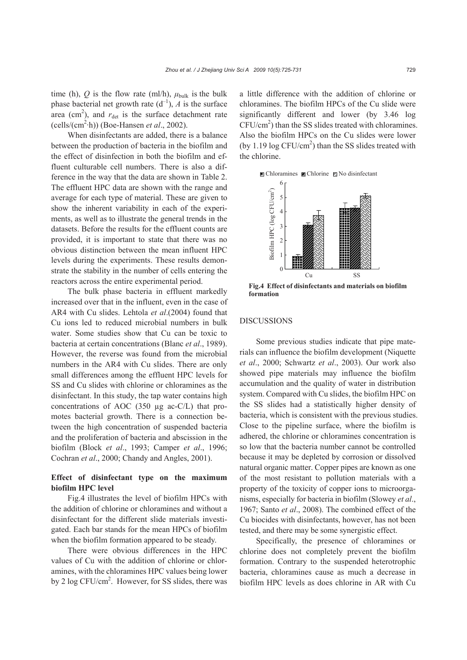time (h),  $Q$  is the flow rate (ml/h),  $\mu_{\text{bulk}}$  is the bulk phase bacterial net growth rate  $(d^{-1})$ , *A* is the surface area (cm<sup>2</sup>), and  $r_{\text{det}}$  is the surface detachment rate  $(cells/(cm<sup>2</sup>·h))$  (Boe-Hansen *et al.*, 2002).

When disinfectants are added, there is a balance between the production of bacteria in the biofilm and the effect of disinfection in both the biofilm and effluent culturable cell numbers. There is also a difference in the way that the data are shown in Table 2. The effluent HPC data are shown with the range and average for each type of material. These are given to show the inherent variability in each of the experiments, as well as to illustrate the general trends in the datasets. Before the results for the effluent counts are provided, it is important to state that there was no obvious distinction between the mean influent HPC levels during the experiments. These results demonstrate the stability in the number of cells entering the reactors across the entire experimental period.

The bulk phase bacteria in effluent markedly increased over that in the influent, even in the case of AR4 with Cu slides. Lehtola *et al*.(2004) found that Cu ions led to reduced microbial numbers in bulk water. Some studies show that Cu can be toxic to bacteria at certain concentrations (Blanc *et al*., 1989). However, the reverse was found from the microbial numbers in the AR4 with Cu slides. There are only small differences among the effluent HPC levels for SS and Cu slides with chlorine or chloramines as the disinfectant. In this study, the tap water contains high concentrations of AOC (350 µg ac-C/L) that promotes bacterial growth. There is a connection between the high concentration of suspended bacteria and the proliferation of bacteria and abscission in the biofilm (Block *et al*., 1993; Camper *et al*., 1996; Cochran *et al*., 2000; Chandy and Angles, 2001).

# **Effect of disinfectant type on the maximum biofilm HPC level**

Fig.4 illustrates the level of biofilm HPCs with the addition of chlorine or chloramines and without a disinfectant for the different slide materials investigated. Each bar stands for the mean HPCs of biofilm when the biofilm formation appeared to be steady.

There were obvious differences in the HPC values of Cu with the addition of chlorine or chloramines, with the chloramines HPC values being lower by 2 log  $CFU/cm^2$ . However, for SS slides, there was a little difference with the addition of chlorine or chloramines. The biofilm HPCs of the Cu slide were significantly different and lower (by 3.46 log  $CFU/cm<sup>2</sup>$ ) than the SS slides treated with chloramines. Also the biofilm HPCs on the Cu slides were lower (by 1.19 log  $CFU/cm<sup>2</sup>$ ) than the SS slides treated with the chlorine.



**Fig.4 Effect of disinfectants and materials on biofilm formation**

#### DISCUSSIONS

Some previous studies indicate that pipe materials can influence the biofilm development (Niquette *et al*., 2000; Schwartz *et al*., 2003). Our work also showed pipe materials may influence the biofilm accumulation and the quality of water in distribution system. Compared with Cu slides, the biofilm HPC on the SS slides had a statistically higher density of bacteria, which is consistent with the previous studies. Close to the pipeline surface, where the biofilm is adhered, the chlorine or chloramines concentration is so low that the bacteria number cannot be controlled because it may be depleted by corrosion or dissolved natural organic matter. Copper pipes are known as one of the most resistant to pollution materials with a property of the toxicity of copper ions to microorganisms, especially for bacteria in biofilm (Slowey *et al*., 1967; Santo *et al*., 2008). The combined effect of the Cu biocides with disinfectants, however, has not been tested, and there may be some synergistic effect.

Specifically, the presence of chloramines or chlorine does not completely prevent the biofilm formation. Contrary to the suspended heterotrophic bacteria, chloramines cause as much a decrease in biofilm HPC levels as does chlorine in AR with Cu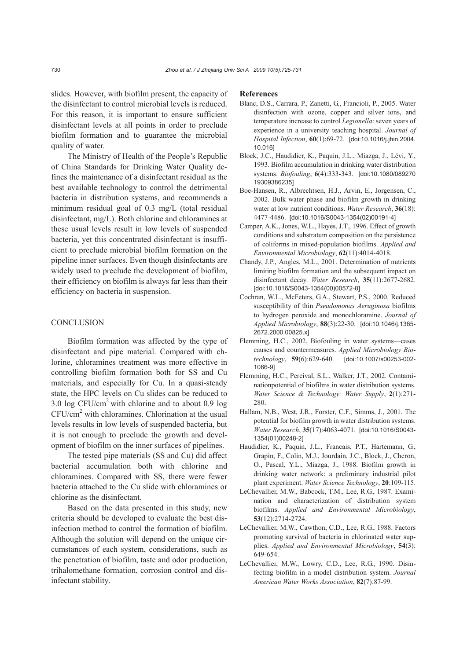slides. However, with biofilm present, the capacity of the disinfectant to control microbial levels is reduced. For this reason, it is important to ensure sufficient disinfectant levels at all points in order to preclude biofilm formation and to guarantee the microbial quality of water.

The Ministry of Health of the People's Republic of China Standards for Drinking Water Quality defines the maintenance of a disinfectant residual as the best available technology to control the detrimental bacteria in distribution systems, and recommends a minimum residual goal of 0.3 mg/L (total residual disinfectant, mg/L). Both chlorine and chloramines at these usual levels result in low levels of suspended bacteria, yet this concentrated disinfectant is insufficient to preclude microbial biofilm formation on the pipeline inner surfaces. Even though disinfectants are widely used to preclude the development of biofilm, their efficiency on biofilm is always far less than their efficiency on bacteria in suspension.

# **CONCLUSION**

Biofilm formation was affected by the type of disinfectant and pipe material. Compared with chlorine, chloramines treatment was more effective in controlling biofilm formation both for SS and Cu materials, and especially for Cu. In a quasi-steady state, the HPC levels on Cu slides can be reduced to 3.0 log CFU/cm<sup>2</sup> with chlorine and to about 0.9 log CFU/cm2 with chloramines. Chlorination at the usual levels results in low levels of suspended bacteria, but it is not enough to preclude the growth and development of biofilm on the inner surfaces of pipelines.

The tested pipe materials (SS and Cu) did affect bacterial accumulation both with chlorine and chloramines. Compared with SS, there were fewer bacteria attached to the Cu slide with chloramines or chlorine as the disinfectant.

Based on the data presented in this study, new criteria should be developed to evaluate the best disinfection method to control the formation of biofilm. Although the solution will depend on the unique circumstances of each system, considerations, such as the penetration of biofilm, taste and odor production, trihalomethane formation, corrosion control and disinfectant stability.

#### **References**

- Blanc, D.S., Carrara, P., Zanetti, G., Francioli, P., 2005. Water disinfection with ozone, copper and silver ions, and temperature increase to control *Legionella*: seven years of experience in a university teaching hospital. *Journal of Hospital Infection*, **60**(1):69-72. [doi:10.1016/j.jhin.2004. 10.016]
- Block, J.C., Haudidier, K., Paquin, J.L., Miazga, J., Lévi, Y., 1993. Biofilm accumulation in drinking water distribution systems. *Biofouling*, **6**(4):333-343. [doi:10.1080/089270 19309386235]
- Boe-Hansen, R., Albrechtsen, H.J., Arvin, E., Jorgensen, C., 2002. Bulk water phase and biofilm growth in drinking water at low nutrient conditions. *Water Research*, **36**(18): 4477-4486. [doi:10.1016/S0043-1354(02)00191-4]
- Camper, A.K., Jones, W.L., Hayes, J.T., 1996. Effect of growth conditions and substratum composition on the persistence of coliforms in mixed-population biofilms. *Applied and Environmental Microbiology*, **62**(11):4014-4018.
- Chandy, J.P., Angles, M.L., 2001. Determination of nutrients limiting biofilm formation and the subsequent impact on disinfectant decay. *Water Research*, **35**(11):2677-2682. [doi:10.1016/S0043-1354(00)00572-8]
- Cochran, W.L., McFeters, G.A., Stewart, P.S., 2000. Reduced susceptibility of thin *Pseudomonas Aeruginosa* biofilms to hydrogen peroxide and monochloramine. *Journal of Applied Microbiology*, **88**(3):22-30. [doi:10.1046/j.1365- 2672.2000.00825.x]
- Flemming, H.C., 2002. Biofouling in water systems—cases causes and countermeasures. *Applied Microbiology Biotechnology*, **59**(6):629-640. [doi:10.1007/s00253-002- 1066-9]
- Flemming, H.C., Percival, S.L., Walker, J.T., 2002. Contaminationpotential of biofilms in water distribution systems. *Water Science & Technology: Water Supply*, **2**(1):271- 280.
- Hallam, N.B., West, J.R., Forster, C.F., Simms, J., 2001. The potential for biofilm growth in water distribution systems. *Water Research*, **35**(17):4063-4071. [doi:10.1016/S0043- 1354(01)00248-2]
- Haudidier, K., Paquin, J.L., Francais, P.T., Hartemann, G., Grapin, F., Colin, M.J., Jourdain, J.C., Block, J., Cheron, O., Pascal, Y.L., Miazga, J., 1988. Biofilm growth in drinking water network: a preliminary industrial pilot plant experiment. *Water Science Technology*, **20**:109-115.
- LeChevallier, M.W., Babcock, T.M., Lee, R.G., 1987. Examination and characterization of distribution system biofilms. *Applied and Environmental Microbiology*, **53**(12):2714-2724.
- LeChevallier, M.W., Cawthon, C.D., Lee, R.G., 1988. Factors promoting survival of bacteria in chlorinated water supplies. *Applied and Environmental Microbiology*, **54**(3): 649-654.
- LeChevallier, M.W., Lowry, C.D., Lee, R.G., 1990. Disinfecting biofilm in a model distribution system. *Journal American Water Works Association*, **82**(7):87-99.